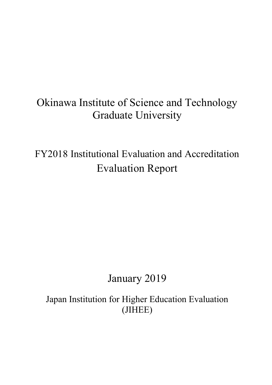FY2018 Institutional Evaluation and Accreditation Evaluation Report

# January 2019

Japan Institution for Higher Education Evaluation (JIHEE)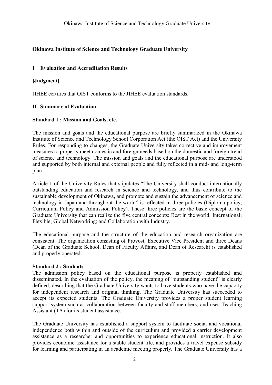# **I Evaluation and Accreditation Results**

# **[Judgment]**

JIHEE certifies that OIST conforms to the JIHEE evaluation standards.

# **II Summary of Evaluation**

# **Standard 1 : Mission and Goals, etc.**

The mission and goals and the educational purpose are briefly summarized in the Okinawa Institute of Science and Technology School Corporation Act (the OIST Act) and the University Rules. For responding to changes, the Graduate University takes corrective and improvement measures to properly meet domestic and foreign needs based on the domestic and foreign trend of science and technology. The mission and goals and the educational purpose are understood and supported by both internal and external people and fully reflected in a mid- and long-term plan.

Article 1 of the University Rules that stipulates "The University shall conduct internationally outstanding education and research in science and technology, and thus contribute to the sustainable development of Okinawa, and promote and sustain the advancement of science and technology in Japan and throughout the world" is reflected in three policies (Diploma policy, Curriculum Policy and Admission Policy). These three policies are the basic concept of the Graduate University that can realize the five central concepts: Best in the world; International; Flexible; Global Networking; and Collaboration with Industry.

The educational purpose and the structure of the education and research organization are consistent. The organization consisting of Provost, Executive Vice President and three Deans (Dean of the Graduate School, Dean of Faculty Affairs, and Dean of Research) is established and properly operated.

# **Standard 2 : Students**

The admission policy based on the educational purpose is properly established and disseminated. In the evaluation of the policy, the meaning of "outstanding student" is clearly defined, describing that the Graduate University wants to have students who have the capacity for independent research and original thinking. The Graduate University has succeeded to accept its expected students. The Graduate University provides a proper student learning support system such as collaboration between faculty and staff members, and uses Teaching Assistant (TA) for its student assistance.

The Graduate University has established a support system to facilitate social and vocational independence both within and outside of the curriculum and provided a carrier development assistance as a researcher and opportunities to experience educational instruction. It also provides economic assistance for a stable student life, and provides a travel expense subsidy for learning and participating in an academic meeting properly. The Graduate University has a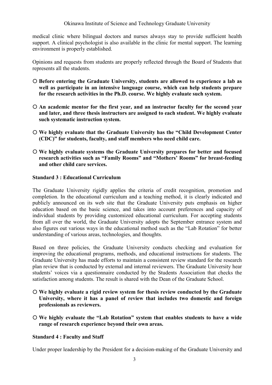medical clinic where bilingual doctors and nurses always stay to provide sufficient health support. A clinical psychologist is also available in the clinic for mental support. The learning environment is properly established.

Opinions and requests from students are properly reflected through the Board of Students that represents all the students.

- **Before entering the Graduate University, students are allowed to experience a lab as well as participate in an intensive language course, which can help students prepare for the research activities in the Ph.D. course. We highly evaluate such system.**
- **An academic mentor for the first year, and an instructor faculty for the second year and later, and three thesis instructors are assigned to each student. We highly evaluate such systematic instruction system.**
- **We highly evaluate that the Graduate University has the "Child Development Center (CDC)" for students, faculty, and staff members who need child care.**
- **We highly evaluate systems the Graduate University prepares for better and focused research activities such as "Family Rooms" and "Mothers' Rooms" for breast-feeding and other child care services.**

# **Standard 3 : Educational Curriculum**

The Graduate University rigidly applies the criteria of credit recognition, promotion and completion. In the educational curriculum and a teaching method, it is clearly indicated and publicly announced on its web site that the Graduate University puts emphasis on higher education based on the basic science, and takes into account preferences and capacity of individual students by providing customized educational curriculum. For accepting students from all over the world, the Graduate University adopts the September entrance system and also figures out various ways in the educational method such as the "Lab Rotation" for better understanding of various areas, technologies, and thoughts.

Based on three policies, the Graduate University conducts checking and evaluation for improving the educational programs, methods, and educational instructions for students. The Graduate University has made efforts to maintain a consistent review standard for the research plan review that is conducted by external and internal reviewers. The Graduate University hear students' voices via a questionnaire conducted by the Students Association that checks the satisfaction among students. The result is shared with the Dean of the Graduate School.

- **We highly evaluate a rigid review system for thesis review conducted by the Graduate University, where it has a panel of review that includes two domestic and foreign professionals as reviewers.**
- **We highly evaluate the "Lab Rotation" system that enables students to have a wide range of research experience beyond their own areas.**

#### **Standard 4 : Faculty and Staff**

Under proper leadership by the President for a decision-making of the Graduate University and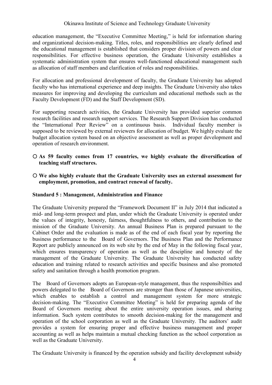education management, the "Executive Committee Meeting," is held for information sharing and organizational decision-making. Titles, roles, and responsibilities are clearly defined and the educational management is established that considers proper division of powers and clear responsibilities. For effective business operation, the Graduate University establishes a systematic administration system that ensures well-functioned educational management such as allocation of staff members and clarification of roles and responsibilities.

For allocation and professional development of faculty, the Graduate University has adopted faculty who has international experience and deep insights. The Graduate University also takes measures for improving and developing the curriculum and educational methods such as the Faculty Development (FD) and the Staff Development (SD).

For supporting research activities, the Graduate University has provided superior common research facilities and research support services. The Research Support Division has conducted the "International Peer Review" on a continuous basis. Individual faculty member is supposed to be reviewed by external reviewers for allocation of budget. We highly evaluate the budget allocation system based on an objective assessment as well as proper development and operation of research environment.

- **As 59 faculty comes from 17 countries, we highly evaluate the diversification of teaching staff structures.**
- **We also highly evaluate that the Graduate University uses an external assessment for employment, promotion, and contract renewal of faculty.**

# **Standard 5 : Management, Administration and Finance**

The Graduate University prepared the "Framework Document II" in July 2014 that indicated a mid- and long-term prospect and plan, under which the Graduate University is operated under the values of integrity, honesty, fairness, thoughtfulness to others, and contribution to the mission of the Graduate University. An annual Business Plan is prepared pursuant to the Cabinet Order and the evaluation is made as of the end of each fiscal year by reporting the business performance to the Board of Governors. The Business Plan and the Performance Report are publicly announced on its web site by the end of May in the following fiscal year, which ensures transparency of operation as well as the descipline and honesty of the management of the Graduate University. The Graduate University has conducted safety education and training related to research activities and specific business and also promoted safety and sanitation through a health promotion program.

The Board of Governors adopts an European-style management, thus the responsibilties and powers delegated to the Board of Governors are stronger than those of Japanese universities, which enables to establish a control and management system for more strategic decision-making. The "Executive Committee Meeting" is held for preparing agenda of the Board of Governors meeting about the entire university operation issues, and sharing information. Such system contributes to smooth decision-making for the management and operation of the school corporation as well as the Graduate University. The auditors' audit provides a system for ensuring proper and effective business management and proper accounting as well as helps maintain a mutual checking function as the school corporation as well as the Graduate University.

The Graduate University is financed by the operation subsidy and facility development subsidy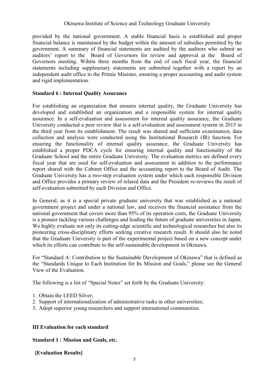provided by the national government. A stable financial basis is established and proper financial balance is maintained by the budget within the amount of subsidies permitted by the government. A summary of financial statements are audited by the auditors who submit an auditors' report to the Board of Governors for review and approval at the Board of Governors meeting. Wihtin three months from the end of each fiscal year, the financial statements including supplenetary statements are submitted together with a report by an independent audit office to the Primie Minister, ensuring a proper accounting and audit system and rigid implementation.

# **Standard 6 : Internal Quality Assurance**

For establishing an organization that ensures internal quality, the Graduate University has developed and established an organization and a responsible system for internal quality assurance. In a self-evaluation and assessment for internal quality assurance, the Graduate University conducted a peer review that is a self-evaluation and assessment system in 2015 in the third year from its establishment. The result was shared and sufficient examination, data collection and analysis were conducted using the Institutional Research (IR) function. For ensuring the functionality of internal quality assurance, the Graduate University has established a proper PDCA cycle for ensuring internal quality and functionality of the Graduate School and the entire Graduate University. The evaluation metrics are defined every fiscal year that are used for self-evaluation and assessment in addition to the performance report shared with the Cabinet Office and the accounting report to the Board of Audit. The Graduate University has a two-step evaluation system under which each responsible Division and Office provides a primary review of related data and the President re-reviews the result of self-evaluation submitted by each Division and Office.

In General, as it is a special private graduate university that was established as a national government project and under a national law, and receives the financial assistance from the national government that covers more than 95% of its operation costs, the Graduate University is a pioneer tackling various challenges and leading the future of graduate universities in Japan. We highly evaluate not only its cutting-edge scientific and technological researches but also its pioneering cross-disciplinary efforts seeking creative research result. It should also be noted that the Graduate University is part of the experimental project based on a new concept under which its efforts can contribute to the self-sustainable development in Okinawa.

For "Standard A: Contribution to the Sustainable Development of Okinawa" that is defined as the "Standards Unique to Each Institution for Its Mission and Goals," please see the General View of the Evaluation.

The following is a list of "Special Notes" set forth by the Graduate University:

- 1. Obtain the LEED Silver;
- 2. Support of internationalization of administrative tasks in other universities;
- 3. Adopt superior young researchers and support international communities.

# **III Evaluation for each standard**

# **Standard 1 : Mission and Goals, etc.**

**[Evaluation Results]**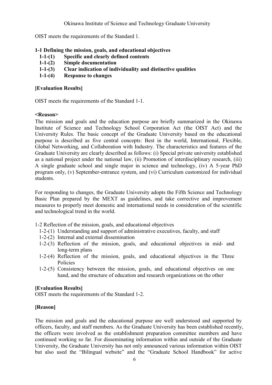OIST meets the requirements of the Standard 1.

# **1-1 Defining the mission, goals, and educational objectives**

- **1-1-(1) Specific and clearly defined contents**
- **1-1-(2) Simple documentation**
- **1-1-(3) Clear indication of individuality and distinctive qualities**
- **1-1-(4) Response to changes**

# **[Evaluation Results]**

OIST meets the requirements of the Standard 1-1.

#### **<Reason>**

The mission and goals and the education purpose are briefly summarized in the Okinawa Institute of Science and Technology School Corporation Act (the OIST Act) and the University Rules. The basic concept of the Graduate University based on the educational purpose is described as five central concepts: Best in the world, International, Flexible, Global Networking, and Collaboration with Industry. The characteristics and features of the Graduate University are clearly described as follows: (i) Special private university established as a national project under the national law, (ii) Promotion of interdisciplinary research, (iii) A single graduate school and single major in science and technology, (iv) A 5-year PhD program only, (v) September-entrance system, and (vi) Curriculum customized for individual students.

For responding to changes, the Graduate University adopts the Fifth Science and Technology Basic Plan prepared by the MEXT as guidelines, and take corrective and improvement measures to properly meet domestic and international needs in consideration of the scientific and technological trend in the world.

# 1-2 Reflection of the mission, goals, and educational objectives

- 1-2-(1) Understanding and support of administrative executives, faculty, and staff
- 1-2-(2) Internal and external dissemination
- 1-2-(3) Reflection of the mission, goals, and educational objectives in mid- and long-term plans
- 1-2-(4) Reflection of the mission, goals, and educational objectives in the Three Policies
- 1-2-(5) Consistency between the mission, goals, and educational objectives on one hand, and the structure of education and research organizations on the other

# **[Evaluation Results]**

OIST meets the requirements of the Standard 1-2.

# **[Reason]**

The mission and goals and the educational purpose are well understood and supported by officers, faculty, and staff members. As the Graduate University has been established recently, the officers were involved as the establishment preparation committee members and have continued working so far. For disseminating information within and outside of the Graduate University, the Graduate University has not only announced various information within OIST but also used the "Bilingual website" and the "Graduate School Handbook" for active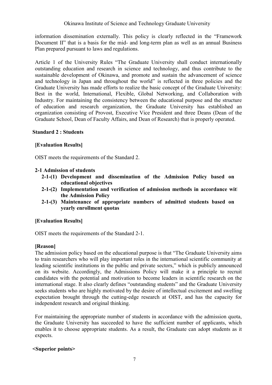information dissemination externally. This policy is clearly reflected in the "Framework Document II" that is a basis for the mid- and long-term plan as well as an annual Business Plan prepared pursuant to laws and regulations.

Article 1 of the University Rules "The Graduate University shall conduct internationally outstanding education and research in science and technology, and thus contribute to the sustainable development of Okinawa, and promote and sustain the advancement of science and technology in Japan and throughout the world" is reflected in three policies and the Graduate University has made efforts to realize the basic concept of the Graduate University: Best in the world, International, Flexible, Global Networking, and Collaboration with Industry. For maintaining the consistency between the educational purpose and the structure of education and research organization, the Graduate University has established an organization consisting of Provost, Executive Vice President and three Deans (Dean of the Graduate School, Dean of Faculty Affairs, and Dean of Research) that is properly operated.

#### **Standard 2 : Students**

# **[Evaluation Results]**

OIST meets the requirements of the Standard 2.

#### **2-1 Admission of students**

- **2-1-(1) Development and dissemination of the Admission Policy based on educational objectives**
- 2-1-(2) Implementation and verification of admission methods in accordance wit **the Admission Policy**
- **2-1-(3) Maintenance of appropriate numbers of admitted students based on yearly enrollment quotas**

# **[Evaluation Results]**

OIST meets the requirements of the Standard 2-1.

# **[Reason]**

The admission policy based on the educational purpose is that "The Graduate University aims to train researchers who will play important roles in the international scientific community at leading scientific institutions in the public and private sectors," which is publicly announced on its website. Accordingly, the Admissions Policy will make it a principle to recruit candidates with the potential and motivation to become leaders in scientific research on the international stage. It also clearly defines "outstanding students" and the Graduate University seeks students who are highly motivated by the desire of intellectual excitement and swelling expectation brought through the cutting-edge research at OIST, and has the capacity for independent research and original thinking.

For maintaining the appropriate number of students in accordance with the admission quota, the Graduate University has succeeded to have the sufficient number of applicants, which enables it to choose appropriate students. As a result, the Graduate can adopt students as it expects.

# **<Superior points>**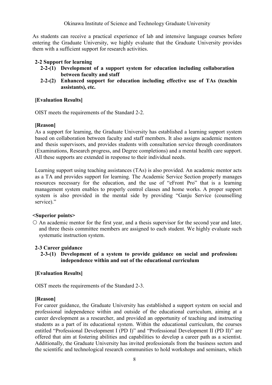As students can receive a practical experience of lab and intensive language courses before entering the Graduate University, we highly evaluate that the Graduate University provides them with a sufficient support for research activities.

# **2-2 Support for learning**

- **2-2-(1) Development of a support system for education including collaboration between faculty and staff**
- **2-2-(2) Enhanced support for education including effective use of TAs (teaching assistants), etc.**

#### **[Evaluation Results]**

OIST meets the requirements of the Standard 2-2.

# **[Reason]**

As a support for learning, the Graduate University has established a learning support system based on collaboration between faculty and staff members. It also assigns academic mentors and thesis supervisors, and provides students with consultation service through coordinators (Examinations, Research progress, and Degree completions) and a mental health care support. All these supports are extended in response to their individual needs.

Learning support using teaching assistances (TAs) is also provided. An academic mentor acts as a TA and provides support for learning. The Academic Service Section properly manages resources necessary for the education, and the use of "eFront Pro" that is a learning management system enables to properly control classes and home works. A proper support system is also provided in the mental side by providing "Ganju Service (counselling service)."

#### **<Superior points>**

 $\circ$  An academic mentor for the first year, and a thesis supervisor for the second year and later, and three thesis committee members are assigned to each student. We highly evaluate such systematic instruction system.

#### **2-3 Career guidance**

**2-3-(1)** Development of a system to provide guidance on social and professions **independence within and out of the educational curriculum**

# **[Evaluation Results]**

OIST meets the requirements of the Standard 2-3.

#### **[Reason]**

For career guidance, the Graduate University has established a support system on social and professional independence within and outside of the educational curriculum, aiming at a career development as a researcher, and provided an opportunity of teaching and instructing students as a part of its educational system. Within the educational curriculum, the courses entitled "Professional Development I (PD I)" and "Professional Development II (PD II)" are offered that aim at fostering abilities and capabilities to develop a career path as a scientist. Additionally, the Graduate University has invited professionals from the business sectors and the scientific and technological research communities to hold workshops and seminars, which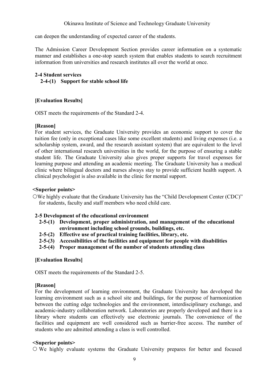can deepen the understanding of expected career of the students.

The Admission Career Development Section provides career information on a systematic manner and establishes a one-stop search system that enables students to search recruitment information from universities and research institutes all over the world at once.

# **2-4 Student services**

**2-4-(1) Support for stable school life**

# **[Evaluation Results]**

OIST meets the requirements of the Standard 2-4.

# **[Reason]**

For student services, the Graduate University provides an economic support to cover the tuition fee (only in exceptional cases like some excellent students) and living expenses (i.e. a scholarship system, award, and the research assistant system) that are equivalent to the level of other international research universities in the world, for the purpose of ensuring a stable student life. The Graduate University also gives proper supports for travel expenses for learning purpose and attending an academic meeting. The Graduate University has a medical clinic where bilingual doctors and nurses always stay to provide sufficient health support. A clinical psychologist is also available in the clinic for mental support.

# **<Superior points>**

We highly evaluate that the Graduate University has the "Child Development Center (CDC)" for students, faculty and staff members who need child care.

# **2-5 Development of the educational environment**

- **2-5-(1) Development, proper administration, and management of the educational environment including school grounds, buildings, etc.**
- **2-5-(2) Effective use of practical training facilities, library, etc.**
- **2-5-(3) Accessibilities of the facilities and equipment for people with disabilities**
- **2-5-(4) Proper management of the number of students attending class**

# **[Evaluation Results]**

OIST meets the requirements of the Standard 2-5.

# **[Reason]**

For the development of learning environment, the Graduate University has developed the learning environment such as a school site and buildings, for the purpose of harmonization between the cutting edge technologies and the environment, interdisciplinary exchange, and academic-industry collaboration network. Laboratories are properly developed and there is a library where students can effectively use electronic journals. The convenience of the facilities and equipment are well considered such as barrier-free access. The number of students who are admitted attending a class is well controlled.

#### **<Superior points>**

We highly evaluate systems the Graduate University prepares for better and focused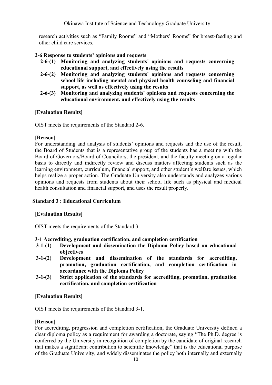research activities such as "Family Rooms" and "Mothers' Rooms" for breast-feeding and other child care services.

**2-6 Response to students' opinions and requests**

- **2-6-(1) Monitoring and analyzing students' opinions and requests concerning educational support, and effectively using the results**
- **2-6-(2) Monitoring and analyzing students' opinions and requests concerning school life including mental and physical health counseling and financial support, as well as effectively using the results**
- **2-6-(3) Monitoring and analyzing students' opinions and requests concerning the educational environment, and effectively using the results**

# **[Evaluation Results]**

OIST meets the requirements of the Standard 2-6.

#### **[Reason]**

For understanding and analysis of students' opinions and requests and the use of the result, the Board of Students that is a representative group of the students has a meeting with the Board of Governors/Board of Councilors, the president, and the faculty meeting on a regular basis to directly and indirectly review and discuss matters affecting students such as the learning environment, curriculum, financial support, and other student's welfare issues, which helps realize a proper action. The Graduate University also understands and analyzes various opinions and requests from students about their school life such as physical and medical health consultation and financial support, and uses the result properly.

# **Standard 3 : Educational Curriculum**

# **[Evaluation Results]**

OIST meets the requirements of the Standard 3.

# **3-1 Accrediting, graduation certification, and completion certification**

- **3-1-(1) Development and dissemination the Diploma Policy based on educational objectives**
- **3-1-(2) Development and dissemination of the standards for accrediting, promotion, graduation certification, and completion certification in accordance with the Diploma Policy**
- **3-1-(3) Strict application of the standards for accrediting, promotion, graduation certification, and completion certification**

# **[Evaluation Results]**

OIST meets the requirements of the Standard 3-1.

# **[Reason]**

For accrediting, progression and completion certification, the Graduate University defined a clear diploma policy as a requirement for awarding a doctorate, saying "The Ph.D. degree is conferred by the University in recognition of completion by the candidate of original research that makes a significant contribution to scientific knowledge" that is the educational purpose of the Graduate University, and widely disseminates the policy both internally and externally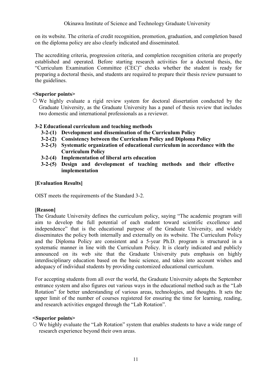on its website. The criteria of credit recognition, promotion, graduation, and completion based on the diploma policy are also clearly indicated and disseminated.

The accrediting criteria, progression criteria, and completion recognition criteria are properly established and operated. Before starting research activities for a doctoral thesis, the "Curriculum Examination Committee (CEC)" checks whether the student is ready for preparing a doctoral thesis, and students are required to prepare their thesis review pursuant to the guidelines.

# **<Superior points>**

 We highly evaluate a rigid review system for doctoral dissertation conducted by the Graduate University, as the Graduate University has a panel of thesis review that includes two domestic and international professionals as a reviewer.

# **3-2 Educational curriculum and teaching methods**

- **3-2-(1) Development and dissemination of the Curriculum Policy**
- **3-2-(2) Consistency between the Curriculum Policy and Diploma Policy**
- **3-2-(3) Systematic organization of educational curriculum in accordance with the Curriculum Policy**
- **3-2-(4) Implementation of liberal arts education**
- **3-2-(5) Design and development of teaching methods and their effective implementation**

# **[Evaluation Results]**

OIST meets the requirements of the Standard 3-2.

# **[Reason]**

The Graduate University defines the curriculum policy, saying "The academic program will aim to develop the full potential of each student toward scientific excellence and independence" that is the educational purpose of the Graduate University, and widely disseminates the policy both internally and externally on its website. The Curriculum Policy and the Diploma Policy are consistent and a 5-year Ph.D. program is structured in a systematic manner in line with the Curriculum Policy. It is clearly indicated and publicly announced on its web site that the Graduate University puts emphasis on highly interdisciplinary education based on the basic science, and takes into account wishes and adequacy of individual students by providing customized educational curriculum.

For accepting students from all over the world, the Graduate University adopts the September entrance system and also figures out various ways in the educational method such as the "Lab Rotation" for better understanding of various areas, technologies, and thoughts. It sets the upper limit of the number of courses registered for ensuring the time for learning, reading, and research activities engaged through the "Lab Rotation".

# **<Superior points>**

 We highly evaluate the "Lab Rotation" system that enables students to have a wide range of research experience beyond their own areas.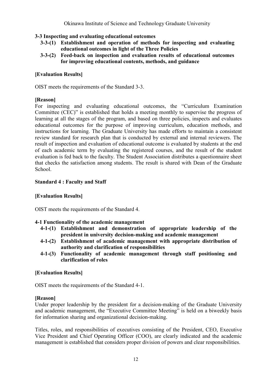# **3-3 Inspecting and evaluating educational outcomes**

- **3-3-(1) Establishment and operation of methods for inspecting and evaluating educational outcomes in light of the Three Policies**
- **3-3-(2) Feed-back on inspection and evaluation results of educational outcomes for improving educational contents, methods, and guidance**

# **[Evaluation Results]**

OIST meets the requirements of the Standard 3-3.

# **[Reason]**

For inspecting and evaluating educational outcomes, the "Curriculum Examination Committee (CEC)" is established that holds a meeting monthly to supervise the progress of learning at all the stages of the program, and based on three policies, inspects and evaluates educational outcomes for the purpose of improving curriculum, education methods, and instructions for learning. The Graduate University has made efforts to maintain a consistent review standard for research plan that is conducted by external and internal reviewers. The result of inspection and evaluation of educational outcome is evaluated by students at the end of each academic term by evaluating the registered courses, and the result of the student evaluation is fed back to the faculty. The Student Association distributes a questionnaire sheet that checks the satisfaction among students. The result is shared with Dean of the Graduate School.

# **Standard 4 : Faculty and Staff**

# **[Evaluation Results]**

OIST meets the requirements of the Standard 4.

# **4-1 Functionality of the academic management**

- **4-1-(1) Establishment and demonstration of appropriate leadership of the president in university decision-making and academic management**
- **4-1-(2) Establishment of academic management with appropriate distribution of authority and clarification of responsibilities**
- **4-1-(3) Functionality of academic management through staff positioning and clarification of roles**

# **[Evaluation Results]**

OIST meets the requirements of the Standard 4-1.

# **[Reason]**

Under proper leadership by the president for a decision-making of the Graduate University and academic management, the "Executive Committee Meeting" is held on a biweekly basis for information sharing and organizational decision-making.

Titles, roles, and responsibilities of executives consisting of the President, CEO, Executive Vice President and Chief Operating Officer (COO), are clearly indicated and the academic management is established that considers proper division of powers and clear responsibilities.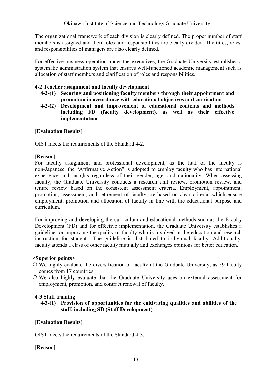The organizational framework of each division is clearly defined. The proper number of staff members is assigned and their roles and responsibilities are clearly divided. The titles, roles, and responsibilities of managers are also clearly defined.

For effective business operation under the executives, the Graduate University establishes a systematic administration system that ensures well-functioned academic management such as allocation of staff members and clarification of roles and responsibilities.

#### **4-2 Teacher assignment and faculty development**

- **4-2-(1) Securing and positioning faculty members through their appointment and promotion in accordance with educational objectives and curriculum**
- **4-2-(2) Development and improvement of educational contents and methods including FD (faculty development), as well as their effective implementation**

#### **[Evaluation Results]**

OIST meets the requirements of the Standard 4-2.

#### **[Reason]**

For faculty assignment and professional development, as the half of the faculty is non-Japanese, the "Affirmative Action" is adopted to employ faculty who has international experience and insights regardless of their gender, age, and nationality. When assessing faculty, the Graduate University conducts a research unit review, promotion review, and tenure review based on the consistent assessment criteria. Employment, appointment, promotion, assessment, and retirement of faculty are based on clear criteria, which ensure employment, promotion and allocation of faculty in line with the educational purpose and curriculum.

For improving and developing the curriculum and educational methods such as the Faculty Development (FD) and for effective implementation, the Graduate University establishes a guideline for improving the quality of faculty who is involved in the education and research instruction for students. The guideline is distributed to individual faculty. Additionally, faculty attends a class of other faculty mutually and exchanges opinions for better education.

#### **<Superior points>**

- We highly evaluate the diversification of faculty at the Graduate University, as 59 faculty comes from 17 countries.
- We also highly evaluate that the Graduate University uses an external assessment for employment, promotion, and contract renewal of faculty.

# **4-3 Staff training**

**4-3-(1) Provision of opportunities for the cultivating qualities and abilities of the staff, including SD (Staff Development)**

# **[Evaluation Results]**

OIST meets the requirements of the Standard 4-3.

# **[Reason]**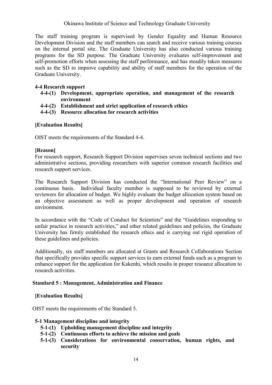The staff training program is supervised by Gender Equality and Human Resource Development Division and the staff members can search and receive various training courses on the internal portal site. The Graduate University has also conducted various training programs for the SD purpose. The Graduate University evaluates self-improvement and self-promotion efforts when assessing the staff performance, and has steadily taken measures such as the SD to improve capability and ability of staff members for the operation of the Graduate University.

#### **4-4 Research support**

- **4-4-(1) Development, appropriate operation, and management of the research environment**
- **4-4-(2) Establishment and strict application of research ethics**
- **4-4-(3) Resource allocation for research activities**

# **[Evaluation Results]**

OIST meets the requirements of the Standard 4-4.

#### **[Reason]**

For research support, Research Support Division supervises seven technical sections and two administrative sections, providing researchers with superior common research facilities and research support services.

The Research Support Division has conducted the "International Peer Review" on a continuous basis. Individual faculty member is supposed to be reviewed by external reviewers for allocation of budget. We highly evaluate the budget allocation system based on an objective assessment as well as proper development and operation of research environment.

In accordance with the "Code of Conduct for Scientists" and the "Guidelines responding to unfair practice in research activities," and other related guidelines and policies, the Graduate University has firmly established the research ethics and is carrying out rigid operation of these guidelines and policies.

Additionally, six staff members are allocated at Grants and Research Collaborations Section that specifically provides specific support services to earn external funds such as a program to enhance support for the application for Kakenhi, which results in proper resource allocation to research activities.

#### **Standard 5 : Management, Administration and Finance**

# **[Evaluation Results]**

OIST meets the requirements of the Standard 5.

#### **5-1 Management discipline and integrity**

- **5-1-(1) Upholding management discipline and integrity**
- **5-1-(2) Continuous efforts to achieve the mission and goals**
- **5-1-(3) Considerations for environmental conservation, human rights, and security**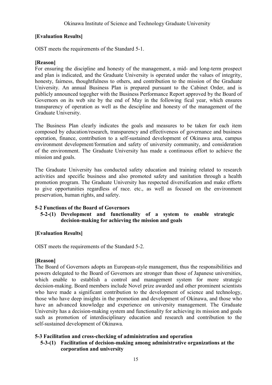# **[Evaluation Results]**

OIST meets the requirements of the Standard 5-1.

# **[Reason]**

For ensuring the discipline and honesty of the management, a mid- and long-term prospect and plan is indicated, and the Graduate University is operated under the values of integrity, honesty, fairness, thoughtfulness to others, and contribution to the mission of the Graduate University. An annual Business Plan is prepared pursuant to the Cabinet Order, and is publicly announced togegher with the Business Performance Report approved by the Board of Governors on its web site by the end of May in the following fical year, which ensures transparency of operation as well as the descipline and honesty of the management of the Graduate University.

The Business Plan clearly indicates the goals and measures to be taken for each item composed by education/research, transparency and effectiveness of governance and business operation, finance, contribution to a self-sustained development of Okinawa area, campus environment development/formation and safety of university community, and consideration of the environment. The Graduate University has made a continuous effort to achieve the mission and goals.

The Graduate University has conducted safety education and training related to research activities and specific business and also promoted safety and sanitation through a health promotion program. The Graduate University has respected diversification and make efforts to give opportunities regardless of race. etc., as well as focused on the environment preservation, human rights, and safety.

# **5-2 Functions of the Board of Governors**

# **5-2-(1) Development and functionality of a system to enable strategic decision-making for achieving the mission and goals**

# **[Evaluation Results]**

OIST meets the requirements of the Standard 5-2.

# **[Reason]**

The Board of Governors adopts an European-style management, thus the responsibilities and powers delegated to the Board of Governors are stronger than those of Japanese universities, which enable to establish a control and management system for more strategic decision-making. Board members include Novel prize awarded and other prominent scientists who have made a significant contribution to the development of science and technology, those who have deep insights in the promotion and development of Okinawa, and those who have an advanced knowledge and experience on university management. The Graduate University has a decision-making system and functionality for achieving its mission and goals such as promotion of interdisciplinary education and research and contribution to the self-sustained development of Okinawa.

# **5-3 Facilitation and cross-checking of administration and operation**

# **5-3-(1) Facilitation of decision-making among administrative organizations at the corporation and university**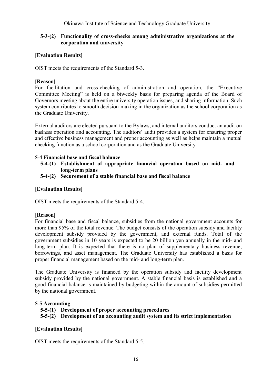# **5-3-(2) Functionality of cross-checks among administrative organizations at the corporation and university**

# **[Evaluation Results]**

OIST meets the requirements of the Standard 5-3.

# **[Reason]**

For facilitation and cross-checking of administration and operation, the "Executive Committee Meeting" is held on a biweekly basis for preparing agenda of the Board of Governors meeting about the entire university operation issues, and sharing information. Such system contributes to smooth decision-making in the organization as the school corporation as the Graduate University.

External auditors are elected pursuant to the Bylaws, and internal auditors conduct an audit on business operation and accounting. The auditors' audit provides a system for ensuring proper and effective business management and proper accounting as well as helps maintain a mutual checking function as a school corporation and as the Graduate University.

# **5-4 Financial base and fiscal balance**

- **5-4-(1) Establishment of appropriate financial operation based on mid- and long-term plans**
- **5-4-(2) Securement of a stable financial base and fiscal balance**

# **[Evaluation Results]**

OIST meets the requirements of the Standard 5-4.

#### **[Reason]**

For financial base and fiscal balance, subsidies from the national government accounts for more than 95% of the total revenue. The budget consists of the operation subsidy and facility development subsidy provided by the government, and external funds. Total of the government subsidies in 10 years is expected to be 20 billion yen annually in the mid- and long-term plan. It is expected that there is no plan of supplementary business revenue, borrowings, and asset management. The Graduate University has established a basis for proper financial management based on the mid- and long-term plan.

The Graduate University is financed by the operation subsidy and facility development subsidy provided by the national government. A stable financial basis is established and a good financial balance is maintained by budgeting within the amount of subsidies permitted by the national government.

# **5-5 Accounting**

- **5-5-(1) Development of proper accounting procedures**
- **5-5-(2) Development of an accounting audit system and its strict implementation**

# **[Evaluation Results]**

OIST meets the requirements of the Standard 5-5.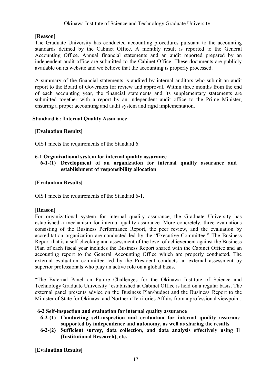# **[Reason]**

The Graduate University has conducted accounting procedures pursuant to the accounting standards defined by the Cabinet Office. A monthly result is reported to the General Accounting Office. Annual financial statements and an audit reported prepared by an independent audit office are submitted to the Cabinet Office. These documents are publicly available on its website and we believe that the accounting is properly processed.

A summary of the financial statements is audited by internal auditors who submit an audit report to the Board of Governors for review and approval. Within three months from the end of each accounting year, the financial statements and its supplementary statements are submitted together with a report by an independent audit office to the Prime Minister, ensuring a proper accounting and audit system and rigid implementation.

# **Standard 6 : Internal Quality Assurance**

# **[Evaluation Results]**

OIST meets the requirements of the Standard 6.

# **6-1 Organizational system for internal quality assurance**

# **6-1-(1) Development of an organization for internal quality assurance and establishment of responsibility allocation**

# **[Evaluation Results]**

OIST meets the requirements of the Standard 6-1.

# **[Reason]**

For organizational system for internal quality assurance, the Graduate University has established a mechanism for internal quality assurance. More concretely, three evaluations consisting of the Business Performance Report, the peer review, and the evaluation by accreditation organization are conducted led by the "Executive Committee." The Business Report that is a self-checking and assessment of the level of achievement against the Business Plan of each fiscal year includes the Business Report shared with the Cabinet Office and an accounting report to the General Accounting Office which are properly conducted. The external evaluation committee led by the President conducts an external assessment by superior professionals who play an active role on a global basis.

"The External Panel on Future Challenges for the Okinawa Institute of Science and Technology Graduate University" established at Cabinet Office is held on a regular basis. The external panel presents advice on the Business Plan/budget and the Business Report to the Minister of State for Okinawa and Northern Territories Affairs from a professional viewpoint.

# **6-2 Self-inspection and evaluation for internal quality assurance**

- **6-2-(1)** Conducting self-inspection and evaluation for internal quality assuranc **supported by independence and autonomy, as well as sharing the results**
- 6-2-(2) Sufficient survey, data collection, and data analysis effectively using Il **(Institutional Research), etc.**

**[Evaluation Results]**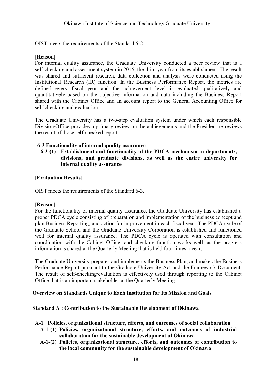OIST meets the requirements of the Standard 6-2.

#### **[Reason]**

For internal quality assurance, the Graduate University conducted a peer review that is a self-checking and assessment system in 2015, the third year from its establishment. The result was shared and sufficient research, data collection and analysis were conducted using the Institutional Research (IR) function. In the Business Performance Report, the metrics are defined every fiscal year and the achievement level is evaluated qualitatively and quantitatively based on the objective information and data including the Business Report shared with the Cabinet Office and an account report to the General Accounting Office for self-checking and evaluation.

The Graduate University has a two-step evaluation system under which each responsible Division/Office provides a primary review on the achievements and the President re-reviews the result of those self-checked report.

#### **6-3 Functionality of internal quality assurance**

**6-3-(1) Establishment and functionality of the PDCA mechanism in departments, divisions, and graduate divisions, as well as the entire university for internal quality assurance**

#### **[Evaluation Results]**

OIST meets the requirements of the Standard 6-3.

#### **[Reason]**

For the functionality of internal quality assurance, the Graduate University has established a proper PDCA cycle consisting of preparation and implementation of the business concept and plan Business Reporting, and action for improvement in each fiscal year. The PDCA cycle of the Graduate School and the Graduate University Corporation is established and functioned well for internal quality assurance. The PDCA cycle is operated with consultation and coordination with the Cabinet Office, and checking function works well, as the progress information is shared at the Quarterly Meeting that is held four times a year.

The Graduate University prepares and implements the Business Plan, and makes the Business Performance Report pursuant to the Graduate University Act and the Framework Document. The result of self-checking/evaluation is effectively used through reporting to the Cabinet Office that is an important stakeholder at the Quarterly Meeting.

#### **Overview on Standards Unique to Each Institution for Its Mission and Goals**

#### **Standard A : Contribution to the Sustainable Development of Okinawa**

- **A-1 Policies, organizational structure, efforts, and outcomes of social collaboration**
	- **A-1-(1) Policies, organizational structure, efforts, and outcomes of industrial collaboration for the sustainable development of Okinawa**
	- **A-1-(2) Policies, organizational structure, efforts, and outcomes of contribution to the local community for the sustainable development of Okinawa**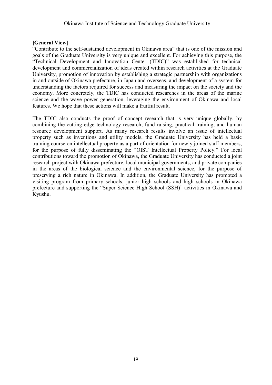#### **[General View]**

"Contribute to the self-sustained development in Okinawa area" that is one of the mission and goals of the Graduate University is very unique and excellent. For achieving this purpose, the "Technical Development and Innovation Center (TDIC)" was established for technical development and commercialization of ideas created within research activities at the Graduate University, promotion of innovation by establishing a strategic partnership with organizations in and outside of Okinawa prefecture, in Japan and overseas, and development of a system for understanding the factors required for success and measuring the impact on the society and the economy. More concretely, the TDIC has conducted researches in the areas of the marine science and the wave power generation, leveraging the environment of Okinawa and local features. We hope that these actions will make a fruitful result.

The TDIC also conducts the proof of concept research that is very unique globally, by combining the cutting edge technology research, fund raising, practical training, and human resource development support. As many research results involve an issue of intellectual property such as inventions and utility models, the Graduate University has held a basic training course on intellectual property as a part of orientation for newly joined staff members, for the purpose of fully disseminating the "OIST Intellectual Property Policy." For local contributions toward the promotion of Okinawa, the Graduate University has conducted a joint research project with Okinawa prefecture, local municipal governments, and private companies in the areas of the biological science and the environmental science, for the purpose of preserving a rich nature in Okinawa. In addition, the Graduate University has promoted a visiting program from primary schools, junior high schools and high schools in Okinawa prefecture and supporting the "Super Science High School (SSH)" activities in Okinawa and Kyushu.